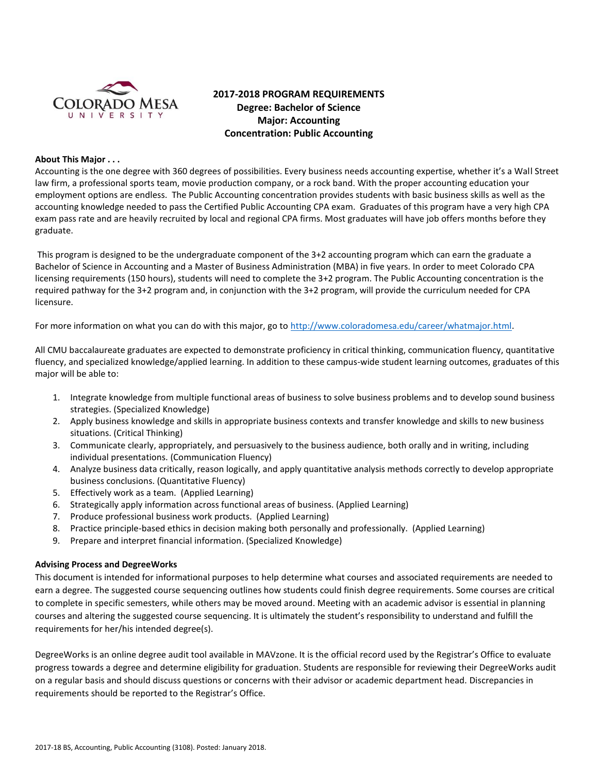

# **2017-2018 PROGRAM REQUIREMENTS Degree: Bachelor of Science Major: Accounting Concentration: Public Accounting**

#### **About This Major . . .**

Accounting is the one degree with 360 degrees of possibilities. Every business needs accounting expertise, whether it's a Wall Street law firm, a professional sports team, movie production company, or a rock band. With the proper accounting education your employment options are endless. The Public Accounting concentration provides students with basic business skills as well as the accounting knowledge needed to pass the Certified Public Accounting CPA exam. Graduates of this program have a very high CPA exam pass rate and are heavily recruited by local and regional CPA firms. Most graduates will have job offers months before they graduate.

This program is designed to be the undergraduate component of the 3+2 accounting program which can earn the graduate a Bachelor of Science in Accounting and a Master of Business Administration (MBA) in five years. In order to meet Colorado CPA licensing requirements (150 hours), students will need to complete the 3+2 program. The Public Accounting concentration is the required pathway for the 3+2 program and, in conjunction with the 3+2 program, will provide the curriculum needed for CPA licensure.

For more information on what you can do with this major, go to [http://www.coloradomesa.edu/career/whatmajor.html.](http://www.coloradomesa.edu/career/whatmajor.html)

All CMU baccalaureate graduates are expected to demonstrate proficiency in critical thinking, communication fluency, quantitative fluency, and specialized knowledge/applied learning. In addition to these campus-wide student learning outcomes, graduates of this major will be able to:

- 1. Integrate knowledge from multiple functional areas of business to solve business problems and to develop sound business strategies. (Specialized Knowledge)
- 2. Apply business knowledge and skills in appropriate business contexts and transfer knowledge and skills to new business situations. (Critical Thinking)
- 3. Communicate clearly, appropriately, and persuasively to the business audience, both orally and in writing, including individual presentations. (Communication Fluency)
- 4. Analyze business data critically, reason logically, and apply quantitative analysis methods correctly to develop appropriate business conclusions. (Quantitative Fluency)
- 5. Effectively work as a team. (Applied Learning)
- 6. Strategically apply information across functional areas of business. (Applied Learning)
- 7. Produce professional business work products. (Applied Learning)
- 8. Practice principle-based ethics in decision making both personally and professionally. (Applied Learning)
- 9. Prepare and interpret financial information. (Specialized Knowledge)

#### **Advising Process and DegreeWorks**

This document is intended for informational purposes to help determine what courses and associated requirements are needed to earn a degree. The suggested course sequencing outlines how students could finish degree requirements. Some courses are critical to complete in specific semesters, while others may be moved around. Meeting with an academic advisor is essential in planning courses and altering the suggested course sequencing. It is ultimately the student's responsibility to understand and fulfill the requirements for her/his intended degree(s).

DegreeWorks is an online degree audit tool available in MAVzone. It is the official record used by the Registrar's Office to evaluate progress towards a degree and determine eligibility for graduation. Students are responsible for reviewing their DegreeWorks audit on a regular basis and should discuss questions or concerns with their advisor or academic department head. Discrepancies in requirements should be reported to the Registrar's Office.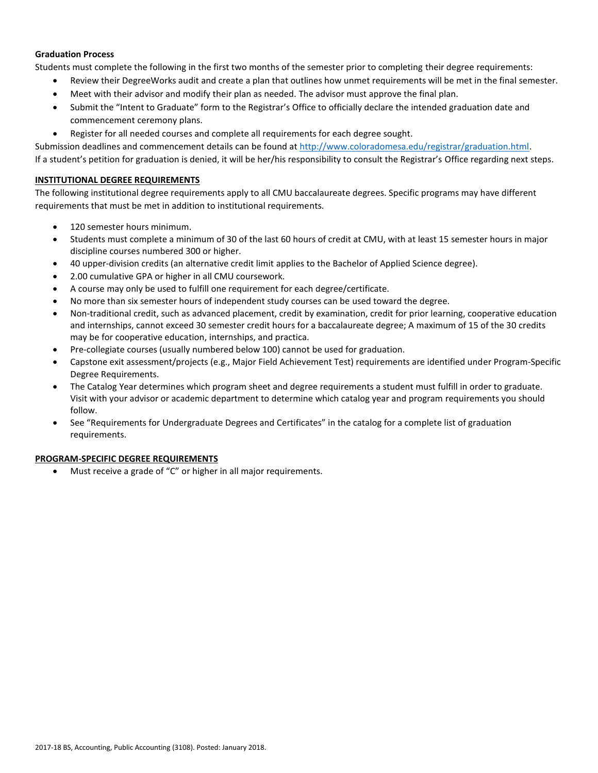#### **Graduation Process**

Students must complete the following in the first two months of the semester prior to completing their degree requirements:

- Review their DegreeWorks audit and create a plan that outlines how unmet requirements will be met in the final semester.
- Meet with their advisor and modify their plan as needed. The advisor must approve the final plan.
- Submit the "Intent to Graduate" form to the Registrar's Office to officially declare the intended graduation date and commencement ceremony plans.
- Register for all needed courses and complete all requirements for each degree sought.

Submission deadlines and commencement details can be found at [http://www.coloradomesa.edu/registrar/graduation.html.](http://www.coloradomesa.edu/registrar/graduation.html) If a student's petition for graduation is denied, it will be her/his responsibility to consult the Registrar's Office regarding next steps.

# **INSTITUTIONAL DEGREE REQUIREMENTS**

The following institutional degree requirements apply to all CMU baccalaureate degrees. Specific programs may have different requirements that must be met in addition to institutional requirements.

- 120 semester hours minimum.
- Students must complete a minimum of 30 of the last 60 hours of credit at CMU, with at least 15 semester hours in major discipline courses numbered 300 or higher.
- 40 upper-division credits (an alternative credit limit applies to the Bachelor of Applied Science degree).
- 2.00 cumulative GPA or higher in all CMU coursework.
- A course may only be used to fulfill one requirement for each degree/certificate.
- No more than six semester hours of independent study courses can be used toward the degree.
- Non-traditional credit, such as advanced placement, credit by examination, credit for prior learning, cooperative education and internships, cannot exceed 30 semester credit hours for a baccalaureate degree; A maximum of 15 of the 30 credits may be for cooperative education, internships, and practica.
- Pre-collegiate courses (usually numbered below 100) cannot be used for graduation.
- Capstone exit assessment/projects (e.g., Major Field Achievement Test) requirements are identified under Program-Specific Degree Requirements.
- The Catalog Year determines which program sheet and degree requirements a student must fulfill in order to graduate. Visit with your advisor or academic department to determine which catalog year and program requirements you should follow.
- See "Requirements for Undergraduate Degrees and Certificates" in the catalog for a complete list of graduation requirements.

# **PROGRAM-SPECIFIC DEGREE REQUIREMENTS**

Must receive a grade of "C" or higher in all major requirements.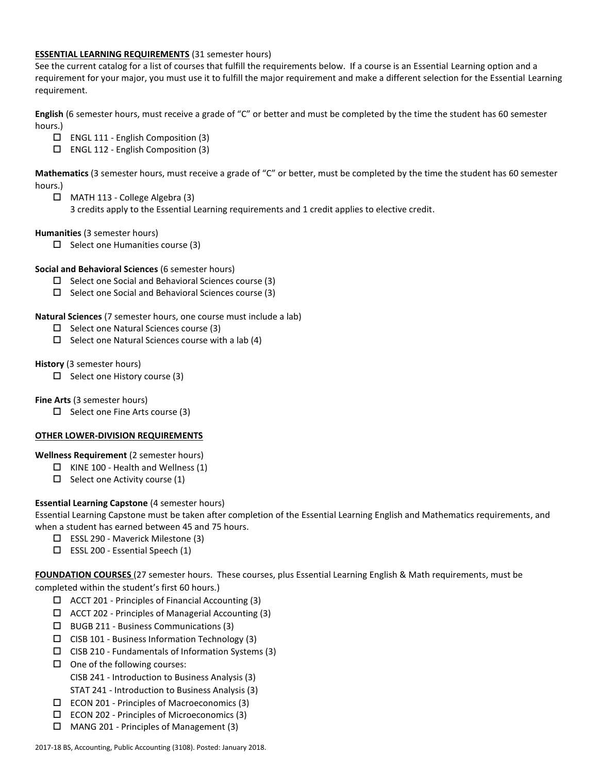### **ESSENTIAL LEARNING REQUIREMENTS** (31 semester hours)

See the current catalog for a list of courses that fulfill the requirements below. If a course is an Essential Learning option and a requirement for your major, you must use it to fulfill the major requirement and make a different selection for the Essential Learning requirement.

**English** (6 semester hours, must receive a grade of "C" or better and must be completed by the time the student has 60 semester hours.)

- ENGL 111 English Composition (3)
- ENGL 112 English Composition (3)

**Mathematics** (3 semester hours, must receive a grade of "C" or better, must be completed by the time the student has 60 semester hours.)

- $\Box$  MATH 113 College Algebra (3)
	- 3 credits apply to the Essential Learning requirements and 1 credit applies to elective credit.

# **Humanities** (3 semester hours)

 $\Box$  Select one Humanities course (3)

# **Social and Behavioral Sciences** (6 semester hours)

- $\Box$  Select one Social and Behavioral Sciences course (3)
- $\Box$  Select one Social and Behavioral Sciences course (3)

**Natural Sciences** (7 semester hours, one course must include a lab)

- $\Box$  Select one Natural Sciences course (3)
- $\Box$  Select one Natural Sciences course with a lab (4)

# **History** (3 semester hours)

 $\Box$  Select one History course (3)

**Fine Arts** (3 semester hours)

 $\square$  Select one Fine Arts course (3)

# **OTHER LOWER-DIVISION REQUIREMENTS**

**Wellness Requirement** (2 semester hours)

- $\Box$  KINE 100 Health and Wellness (1)
- $\Box$  Select one Activity course (1)

# **Essential Learning Capstone** (4 semester hours)

Essential Learning Capstone must be taken after completion of the Essential Learning English and Mathematics requirements, and when a student has earned between 45 and 75 hours.

- ESSL 290 Maverick Milestone (3)
- $\Box$  ESSL 200 Essential Speech (1)

**FOUNDATION COURSES** (27 semester hours. These courses, plus Essential Learning English & Math requirements, must be completed within the student's first 60 hours.)

- $\Box$  ACCT 201 Principles of Financial Accounting (3)
- $\Box$  ACCT 202 Principles of Managerial Accounting (3)
- BUGB 211 Business Communications (3)
- $\Box$  CISB 101 Business Information Technology (3)
- $\square$  CISB 210 Fundamentals of Information Systems (3)
- $\Box$  One of the following courses:
	- CISB 241 Introduction to Business Analysis (3)
	- STAT 241 Introduction to Business Analysis (3)
- $\square$  ECON 201 Principles of Macroeconomics (3)
- $\square$  ECON 202 Principles of Microeconomics (3)
- $\Box$  MANG 201 Principles of Management (3)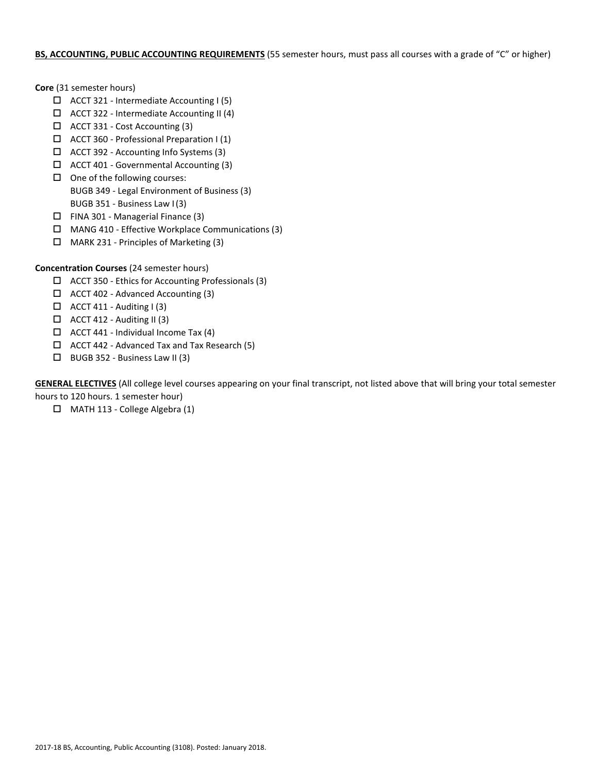### **BS, ACCOUNTING, PUBLIC ACCOUNTING REQUIREMENTS** (55 semester hours, must pass all courses with a grade of "C" or higher)

**Core** (31 semester hours)

- ACCT 321 Intermediate Accounting I (5)
- $\Box$  ACCT 322 Intermediate Accounting II (4)
- ACCT 331 Cost Accounting (3)
- ACCT 360 Professional Preparation I (1)
- $\Box$  ACCT 392 Accounting Info Systems (3)
- ACCT 401 Governmental Accounting (3)
- $\Box$  One of the following courses: BUGB 349 - Legal Environment of Business (3) BUGB 351 - Business Law I(3)
- FINA 301 Managerial Finance (3)
- MANG 410 Effective Workplace Communications (3)
- $\Box$  MARK 231 Principles of Marketing (3)

# **Concentration Courses** (24 semester hours)

- $\Box$  ACCT 350 Ethics for Accounting Professionals (3)
- $\Box$  ACCT 402 Advanced Accounting (3)
- $\Box$  ACCT 411 Auditing I (3)
- $\Box$  ACCT 412 Auditing II (3)
- $\Box$  ACCT 441 Individual Income Tax (4)
- $\Box$  ACCT 442 Advanced Tax and Tax Research (5)
- $\Box$  BUGB 352 Business Law II (3)

**GENERAL ELECTIVES** (All college level courses appearing on your final transcript, not listed above that will bring your total semester hours to 120 hours. 1 semester hour)

MATH 113 - College Algebra (1)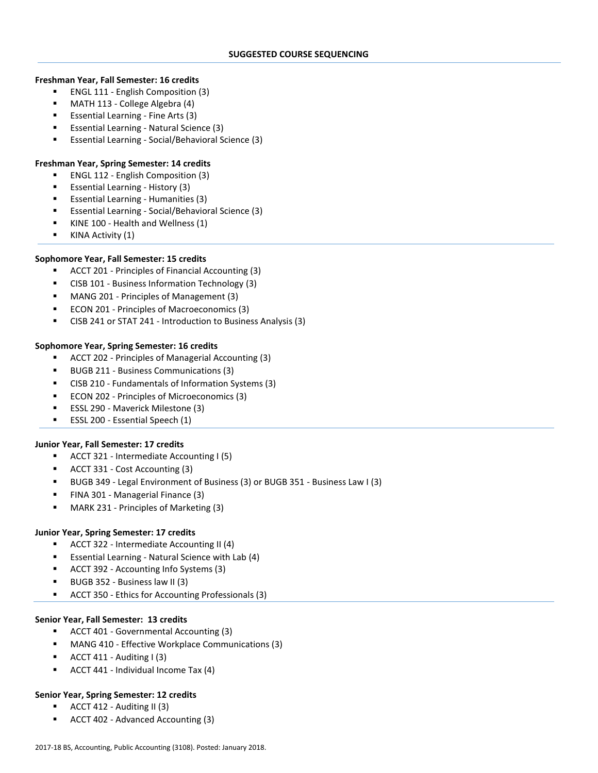### **Freshman Year, Fall Semester: 16 credits**

- ENGL 111 English Composition (3)
- MATH 113 College Algebra (4)
- Essential Learning Fine Arts (3)
- Essential Learning Natural Science (3)
- Essential Learning Social/Behavioral Science (3)

# **Freshman Year, Spring Semester: 14 credits**

- ENGL 112 English Composition (3)
- **Essential Learning History (3)**
- Essential Learning Humanities (3)
- Essential Learning Social/Behavioral Science (3)
- KINE 100 Health and Wellness (1)
- KINA Activity (1)

# **Sophomore Year, Fall Semester: 15 credits**

- ACCT 201 Principles of Financial Accounting (3)
- CISB 101 Business Information Technology (3)
- MANG 201 Principles of Management (3)
- ECON 201 Principles of Macroeconomics (3)
- CISB 241 or STAT 241 Introduction to Business Analysis (3)

# **Sophomore Year, Spring Semester: 16 credits**

- ACCT 202 Principles of Managerial Accounting (3)
- BUGB 211 Business Communications (3)
- CISB 210 Fundamentals of Information Systems (3)
- ECON 202 Principles of Microeconomics (3)
- ESSL 290 Maverick Milestone (3)
- ESSL 200 Essential Speech (1)

# **Junior Year, Fall Semester: 17 credits**

- ACCT 321 Intermediate Accounting I (5)
- ACCT 331 Cost Accounting (3)
- BUGB 349 Legal Environment of Business (3) or BUGB 351 Business Law I (3)
- FINA 301 Managerial Finance (3)
- MARK 231 Principles of Marketing (3)

# **Junior Year, Spring Semester: 17 credits**

- ACCT 322 Intermediate Accounting II (4)
- Essential Learning Natural Science with Lab (4)
- ACCT 392 Accounting Info Systems (3)
- BUGB 352 Business law II (3)
- ACCT 350 Ethics for Accounting Professionals (3)

# **Senior Year, Fall Semester: 13 credits**

- ACCT 401 Governmental Accounting (3)
- MANG 410 Effective Workplace Communications (3)
- $\blacksquare$  ACCT 411 Auditing I (3)
- ACCT 441 Individual Income Tax (4)

# **Senior Year, Spring Semester: 12 credits**

- ACCT 412 Auditing II (3)
- ACCT 402 Advanced Accounting (3)